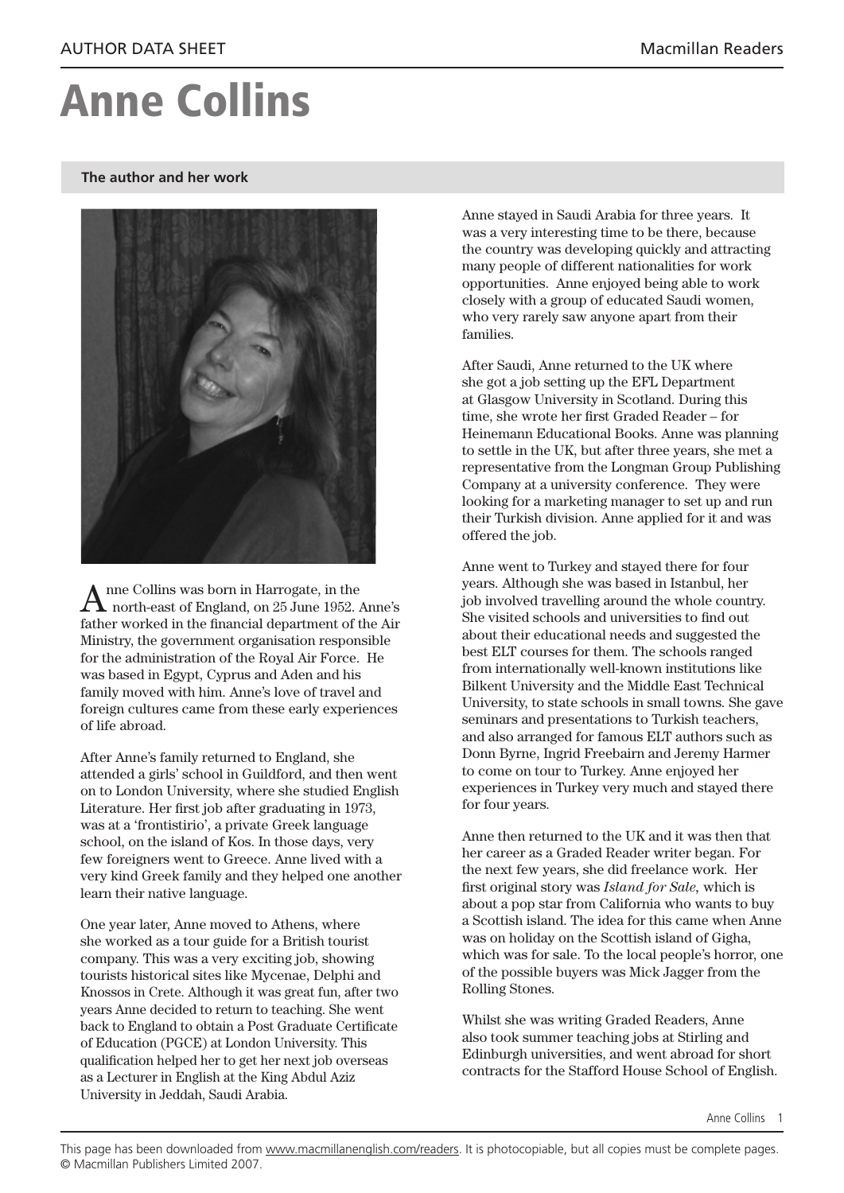## Anne Collins

## **The author and her work**



 $A$  nne Collins was born in Harrogate, in the north-east of England, on 25 June 1952. Anne's father worked in the financial department of the Air Ministry, the government organisation responsible for the administration of the Royal Air Force. He was based in Egypt, Cyprus and Aden and his family moved with him. Anne's love of travel and foreign cultures came from these early experiences of life abroad.

After Anne's family returned to England, she attended a girls' school in Guildford, and then went on to London University, where she studied English Literature. Her first job after graduating in 1973, was at a 'frontistirio', a private Greek language school, on the island of Kos. In those days, very few foreigners went to Greece. Anne lived with a very kind Greek family and they helped one another learn their native language.

One year later, Anne moved to Athens, where she worked as a tour guide for a British tourist company. This was a very exciting job, showing tourists historical sites like Mycenae, Delphi and Knossos in Crete. Although it was great fun, after two years Anne decided to return to teaching. She went back to England to obtain a Post Graduate Certificate of Education (PGCE) at London University. This qualification helped her to get her next job overseas as a Lecturer in English at the King Abdul Aziz University in Jeddah, Saudi Arabia.

Anne stayed in Saudi Arabia for three years. It was a very interesting time to be there, because the country was developing quickly and attracting many people of different nationalities for work opportunities. Anne enjoyed being able to work closely with a group of educated Saudi women, who very rarely saw anyone apart from their families.

After Saudi, Anne returned to the UK where she got a job setting up the EFL Department at Glasgow University in Scotland. During this time, she wrote her first Graded Reader – for Heinemann Educational Books. Anne was planning to settle in the UK, but after three years, she met a representative from the Longman Group Publishing Company at a university conference. They were looking for a marketing manager to set up and run their Turkish division. Anne applied for it and was offered the job.

Anne went to Turkey and stayed there for four years. Although she was based in Istanbul, her job involved travelling around the whole country. She visited schools and universities to find out about their educational needs and suggested the best ELT courses for them. The schools ranged from internationally well-known institutions like Bilkent University and the Middle East Technical University, to state schools in small towns. She gave seminars and presentations to Turkish teachers, and also arranged for famous ELT authors such as Donn Byrne, Ingrid Freebairn and Jeremy Harmer to come on tour to Turkey. Anne enjoyed her experiences in Turkey very much and stayed there for four years.

Anne then returned to the UK and it was then that her career as a Graded Reader writer began. For the next few years, she did freelance work. Her first original story was *Island for Sale,* which is about a pop star from California who wants to buy a Scottish island. The idea for this came when Anne was on holiday on the Scottish island of Gigha, which was for sale. To the local people's horror, one of the possible buyers was Mick Jagger from the Rolling Stones.

Whilst she was writing Graded Readers, Anne also took summer teaching jobs at Stirling and Edinburgh universities, and went abroad for short contracts for the Stafford House School of English.